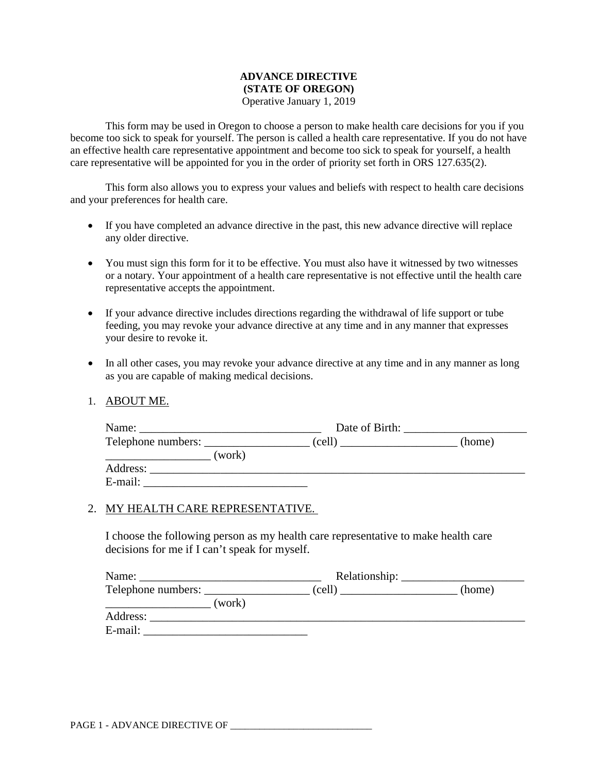#### **ADVANCE DIRECTIVE (STATE OF OREGON)** Operative January 1, 2019

This form may be used in Oregon to choose a person to make health care decisions for you if you become too sick to speak for yourself. The person is called a health care representative. If you do not have an effective health care representative appointment and become too sick to speak for yourself, a health care representative will be appointed for you in the order of priority set forth in ORS 127.635(2).

This form also allows you to express your values and beliefs with respect to health care decisions and your preferences for health care.

- If you have completed an advance directive in the past, this new advance directive will replace any older directive.
- You must sign this form for it to be effective. You must also have it witnessed by two witnesses or a notary. Your appointment of a health care representative is not effective until the health care representative accepts the appointment.
- If your advance directive includes directions regarding the withdrawal of life support or tube feeding, you may revoke your advance directive at any time and in any manner that expresses your desire to revoke it.
- In all other cases, you may revoke your advance directive at any time and in any manner as long as you are capable of making medical decisions.
- 1. ABOUT ME.

| Name:    | Date of Birth: |        |
|----------|----------------|--------|
|          | (cell)         | (home) |
| (work)   |                |        |
| Address: |                |        |
| E-mail:  |                |        |

#### 2. MY HEALTH CARE REPRESENTATIVE.

I choose the following person as my health care representative to make health care decisions for me if I can't speak for myself.

| Name:              |        |        |
|--------------------|--------|--------|
| Telephone numbers: | (cell) | (home) |
| (work)             |        |        |
| Address:           |        |        |
| E-mail:            |        |        |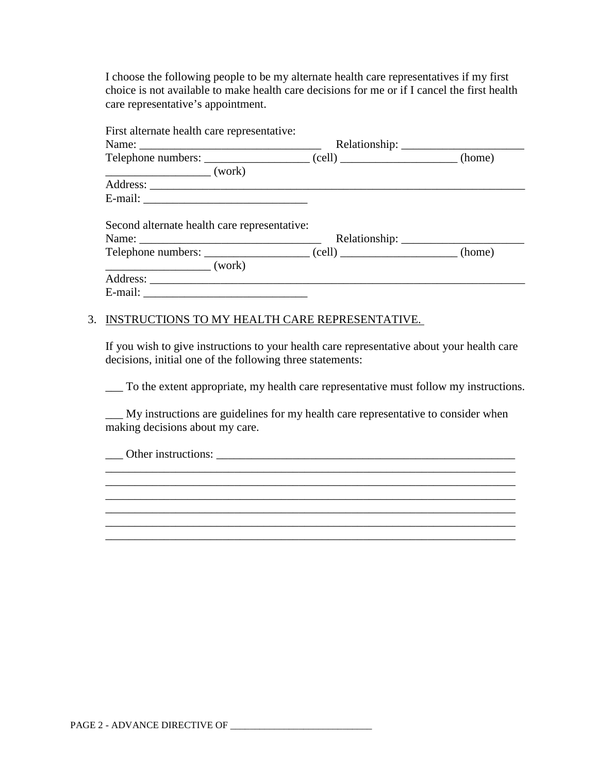I choose the following people to be my alternate health care representatives if my first choice is not available to make health care decisions for me or if I cancel the first health care representative's appointment.

| First alternate health care representative:                                                                                                                                                                                                                                                                                                                                                                          |  |
|----------------------------------------------------------------------------------------------------------------------------------------------------------------------------------------------------------------------------------------------------------------------------------------------------------------------------------------------------------------------------------------------------------------------|--|
|                                                                                                                                                                                                                                                                                                                                                                                                                      |  |
|                                                                                                                                                                                                                                                                                                                                                                                                                      |  |
| $\frac{\sqrt{1-\frac{1}{2}}}{\sqrt{1-\frac{1}{2}}}\left(\text{work}\right)$                                                                                                                                                                                                                                                                                                                                          |  |
|                                                                                                                                                                                                                                                                                                                                                                                                                      |  |
|                                                                                                                                                                                                                                                                                                                                                                                                                      |  |
| Second alternate health care representative:                                                                                                                                                                                                                                                                                                                                                                         |  |
| Telephone numbers: _______________________(cell) _____________________(home)                                                                                                                                                                                                                                                                                                                                         |  |
| $\frac{1}{\sqrt{1-\frac{1}{2}}\sqrt{1-\frac{1}{2}}\sqrt{1-\frac{1}{2}}\sqrt{1-\frac{1}{2}}\sqrt{1-\frac{1}{2}}\sqrt{1-\frac{1}{2}}\sqrt{1-\frac{1}{2}}\sqrt{1-\frac{1}{2}}\sqrt{1-\frac{1}{2}}\sqrt{1-\frac{1}{2}}\sqrt{1-\frac{1}{2}}\sqrt{1-\frac{1}{2}}\sqrt{1-\frac{1}{2}}\sqrt{1-\frac{1}{2}}\sqrt{1-\frac{1}{2}}\sqrt{1-\frac{1}{2}}\sqrt{1-\frac{1}{2}}\sqrt{1-\frac{1}{2}}\sqrt{1-\frac{1}{2}}\sqrt{1-\frac$ |  |
|                                                                                                                                                                                                                                                                                                                                                                                                                      |  |
|                                                                                                                                                                                                                                                                                                                                                                                                                      |  |

## 3. INSTRUCTIONS TO MY HEALTH CARE REPRESENTATIVE.

If you wish to give instructions to your health care representative about your health care decisions, initial one of the following three statements:

\_\_\_ To the extent appropriate, my health care representative must follow my instructions.

\_\_\_ My instructions are guidelines for my health care representative to consider when making decisions about my care.

\_\_\_\_\_\_\_\_\_\_\_\_\_\_\_\_\_\_\_\_\_\_\_\_\_\_\_\_\_\_\_\_\_\_\_\_\_\_\_\_\_\_\_\_\_\_\_\_\_\_\_\_\_\_\_\_\_\_\_\_\_\_\_\_\_\_\_\_\_\_ \_\_\_\_\_\_\_\_\_\_\_\_\_\_\_\_\_\_\_\_\_\_\_\_\_\_\_\_\_\_\_\_\_\_\_\_\_\_\_\_\_\_\_\_\_\_\_\_\_\_\_\_\_\_\_\_\_\_\_\_\_\_\_\_\_\_\_\_\_\_ \_\_\_\_\_\_\_\_\_\_\_\_\_\_\_\_\_\_\_\_\_\_\_\_\_\_\_\_\_\_\_\_\_\_\_\_\_\_\_\_\_\_\_\_\_\_\_\_\_\_\_\_\_\_\_\_\_\_\_\_\_\_\_\_\_\_\_\_\_\_

\_\_\_\_\_\_\_\_\_\_\_\_\_\_\_\_\_\_\_\_\_\_\_\_\_\_\_\_\_\_\_\_\_\_\_\_\_\_\_\_\_\_\_\_\_\_\_\_\_\_\_\_\_\_\_\_\_\_\_\_\_\_\_\_\_\_\_\_\_\_

\_\_\_ Other instructions: \_\_\_\_\_\_\_\_\_\_\_\_\_\_\_\_\_\_\_\_\_\_\_\_\_\_\_\_\_\_\_\_\_\_\_\_\_\_\_\_\_\_\_\_\_\_\_\_\_\_\_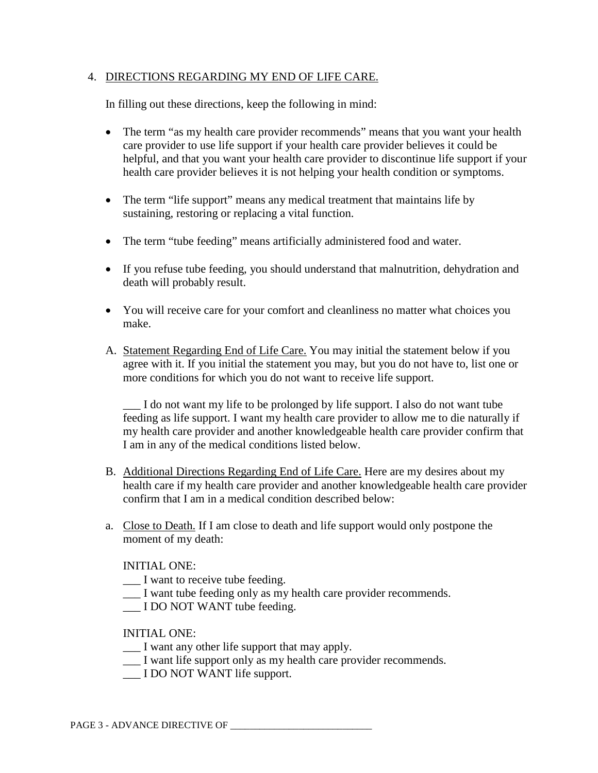## 4. DIRECTIONS REGARDING MY END OF LIFE CARE.

In filling out these directions, keep the following in mind:

- The term "as my health care provider recommends" means that you want your health care provider to use life support if your health care provider believes it could be helpful, and that you want your health care provider to discontinue life support if your health care provider believes it is not helping your health condition or symptoms.
- The term "life support" means any medical treatment that maintains life by sustaining, restoring or replacing a vital function.
- The term "tube feeding" means artificially administered food and water.
- If you refuse tube feeding, you should understand that malnutrition, dehydration and death will probably result.
- You will receive care for your comfort and cleanliness no matter what choices you make.
- A. Statement Regarding End of Life Care. You may initial the statement below if you agree with it. If you initial the statement you may, but you do not have to, list one or more conditions for which you do not want to receive life support.

I do not want my life to be prolonged by life support. I also do not want tube feeding as life support. I want my health care provider to allow me to die naturally if my health care provider and another knowledgeable health care provider confirm that I am in any of the medical conditions listed below.

- B. Additional Directions Regarding End of Life Care. Here are my desires about my health care if my health care provider and another knowledgeable health care provider confirm that I am in a medical condition described below:
- a. Close to Death. If I am close to death and life support would only postpone the moment of my death:

## INITIAL ONE:

- \_\_\_ I want to receive tube feeding.
- \_\_\_ I want tube feeding only as my health care provider recommends.
- \_\_\_ I DO NOT WANT tube feeding.

## INITIAL ONE:

- \_\_\_ I want any other life support that may apply.
- \_\_\_ I want life support only as my health care provider recommends.
- \_\_\_ I DO NOT WANT life support.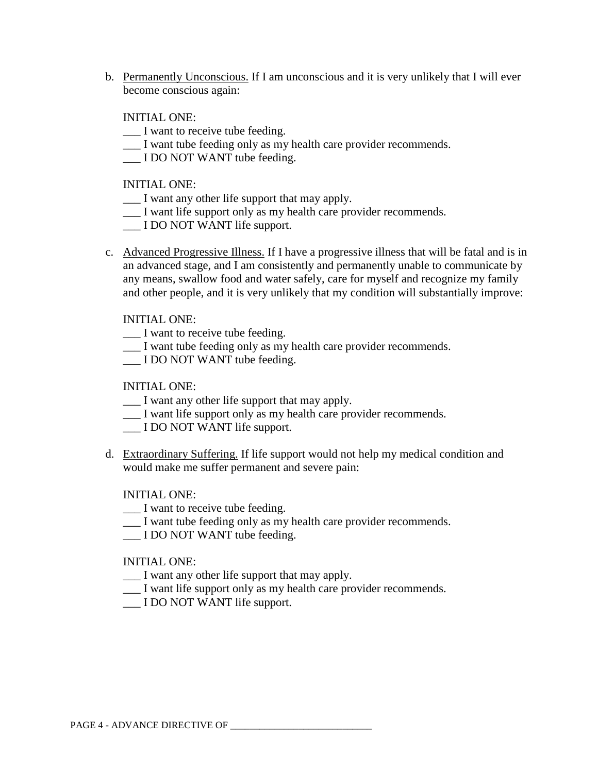b. Permanently Unconscious. If I am unconscious and it is very unlikely that I will ever become conscious again:

INITIAL ONE:

- \_\_\_ I want to receive tube feeding.
- \_\_\_ I want tube feeding only as my health care provider recommends.
- \_\_\_ I DO NOT WANT tube feeding.

INITIAL ONE:

- \_\_\_ I want any other life support that may apply.
- \_\_\_ I want life support only as my health care provider recommends.
- \_\_\_ I DO NOT WANT life support.
- c. Advanced Progressive Illness. If I have a progressive illness that will be fatal and is in an advanced stage, and I am consistently and permanently unable to communicate by any means, swallow food and water safely, care for myself and recognize my family and other people, and it is very unlikely that my condition will substantially improve:

INITIAL ONE:

- I want to receive tube feeding.
- \_\_\_ I want tube feeding only as my health care provider recommends.
- I DO NOT WANT tube feeding.

INITIAL ONE:

- \_\_\_ I want any other life support that may apply.
- \_\_\_ I want life support only as my health care provider recommends.
- \_\_\_ I DO NOT WANT life support.
- d. Extraordinary Suffering. If life support would not help my medical condition and would make me suffer permanent and severe pain:

INITIAL ONE:

- I want to receive tube feeding.
- \_\_\_ I want tube feeding only as my health care provider recommends.
- \_\_\_ I DO NOT WANT tube feeding.

INITIAL ONE:

- \_\_\_ I want any other life support that may apply.
- \_\_\_ I want life support only as my health care provider recommends.
- I DO NOT WANT life support.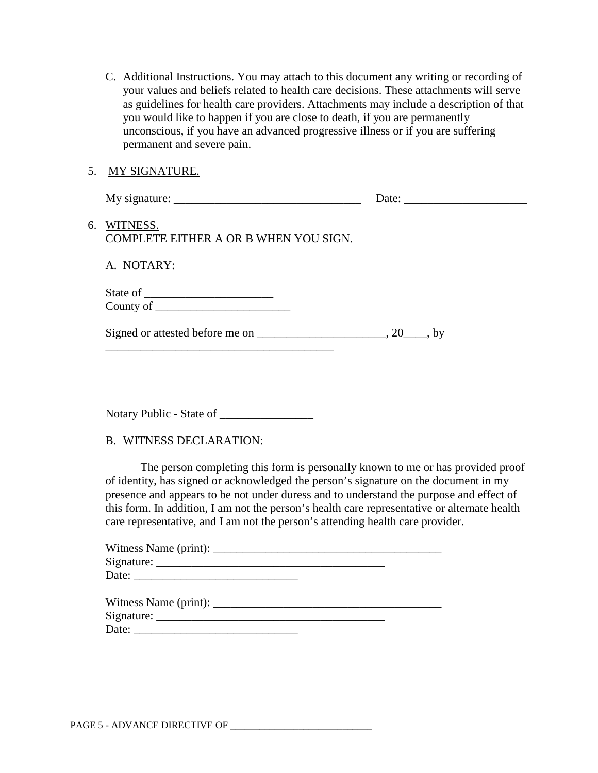- C. Additional Instructions. You may attach to this document any writing or recording of your values and beliefs related to health care decisions. These attachments will serve as guidelines for health care providers. Attachments may include a description of that you would like to happen if you are close to death, if you are permanently unconscious, if you have an advanced progressive illness or if you are suffering permanent and severe pain.
- 5. MY SIGNATURE.

| My signature: | $\Delta$ de $\cdot$ |  |
|---------------|---------------------|--|
|               |                     |  |

6. WITNESS. COMPLETE EITHER A OR B WHEN YOU SIGN.

\_\_\_\_\_\_\_\_\_\_\_\_\_\_\_\_\_\_\_\_\_\_\_\_\_\_\_\_\_\_\_\_\_\_\_\_\_\_\_

A. NOTARY:

State of \_\_\_\_\_\_\_\_\_\_\_\_\_\_\_\_\_\_\_\_\_\_ County of \_\_\_\_\_\_\_\_\_\_\_\_\_\_\_\_\_\_\_\_\_\_\_

| Signed or attested before me on | $, 20$ , by |  |
|---------------------------------|-------------|--|
|---------------------------------|-------------|--|

Notary Public - State of \_\_\_\_\_\_\_\_\_\_\_\_\_\_\_\_

## B. WITNESS DECLARATION:

The person completing this form is personally known to me or has provided proof of identity, has signed or acknowledged the person's signature on the document in my presence and appears to be not under duress and to understand the purpose and effect of this form. In addition, I am not the person's health care representative or alternate health care representative, and I am not the person's attending health care provider.

| Witness Name (print): |  |  |
|-----------------------|--|--|
| Signature:            |  |  |
| Date:                 |  |  |

| Witness Name (print): |  |
|-----------------------|--|
| Signature:            |  |
| Date:                 |  |